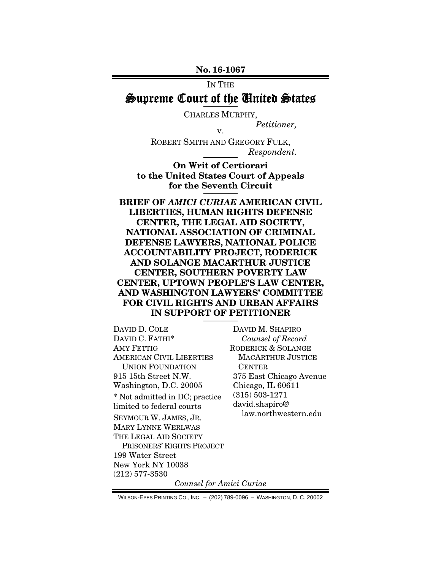No. 16-1067

# IN THE

# Supreme Court of the United States ————

CHARLES MURPHY,

*Petitioner,* 

ROBERT SMITH AND GREGORY FULK,  $Respondent.$ 

v.

On Writ of Certiorari to the United States Court of Appeals for the Seventh Circuit

BRIEF OF *AMICI CURIAE* AMERICAN CIVIL LIBERTIES, HUMAN RIGHTS DEFENSE CENTER, THE LEGAL AID SOCIETY, NATIONAL ASSOCIATION OF CRIMINAL DEFENSE LAWYERS, NATIONAL POLICE ACCOUNTABILITY PROJECT, RODERICK AND SOLANGE MACARTHUR JUSTICE CENTER, SOUTHERN POVERTY LAW CENTER, UPTOWN PEOPLE'S LAW CENTER, AND WASHINGTON LAWYERS' COMMITTEE FOR CIVIL RIGHTS AND URBAN AFFAIRS IN SUPPORT OF PETITIONER

DAVID D. COLE DAVID C. FATHI\* AMY FETTIG AMERICAN CIVIL LIBERTIES UNION FOUNDATION 915 15th Street N.W. Washington, D.C. 20005 \* Not admitted in DC; practice limited to federal courts SEYMOUR W. JAMES, JR. MARY LYNNE WERLWAS THE LEGAL AID SOCIETY PRISONERS' RIGHTS PROJECT 199 Water Street New York NY 10038 (212) 577-3530

DAVID M. SHAPIRO *Counsel of Record*  RODERICK & SOLANGE MACARTHUR JUSTICE CENTER 375 East Chicago Avenue Chicago, IL 60611 (315) 503-1271 david.shapiro@ law.northwestern.edu

*Counsel for Amici Curiae* 

WILSON-EPES PRINTING CO., INC. – (202) 789-0096 – WASHINGTON, D. C. 20002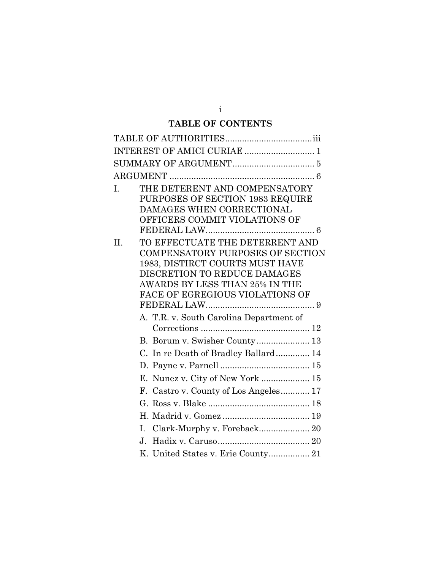# **TABLE OF CONTENTS**

| Ī. | THE DETERENT AND COMPENSATORY<br>PURPOSES OF SECTION 1983 REQUIRE<br>DAMAGES WHEN CORRECTIONAL<br>OFFICERS COMMIT VIOLATIONS OF                                                                                    |
|----|--------------------------------------------------------------------------------------------------------------------------------------------------------------------------------------------------------------------|
| H. | TO EFFECTUATE THE DETERRENT AND<br><b>COMPENSATORY PURPOSES OF SECTION</b><br>1983, DISTIRCT COURTS MUST HAVE<br>DISCRETION TO REDUCE DAMAGES<br>AWARDS BY LESS THAN 25% IN THE<br>FACE OF EGREGIOUS VIOLATIONS OF |
|    | A. T.R. v. South Carolina Department of                                                                                                                                                                            |
|    |                                                                                                                                                                                                                    |
|    | C. In re Death of Bradley Ballard 14                                                                                                                                                                               |
|    |                                                                                                                                                                                                                    |
|    | E. Nunez v. City of New York  15                                                                                                                                                                                   |
|    | F. Castro v. County of Los Angeles 17                                                                                                                                                                              |
|    |                                                                                                                                                                                                                    |
|    |                                                                                                                                                                                                                    |
|    | Clark-Murphy v. Foreback 20<br>$\mathbf{L}$                                                                                                                                                                        |
|    | $\mathbf{J}$                                                                                                                                                                                                       |
|    |                                                                                                                                                                                                                    |
|    |                                                                                                                                                                                                                    |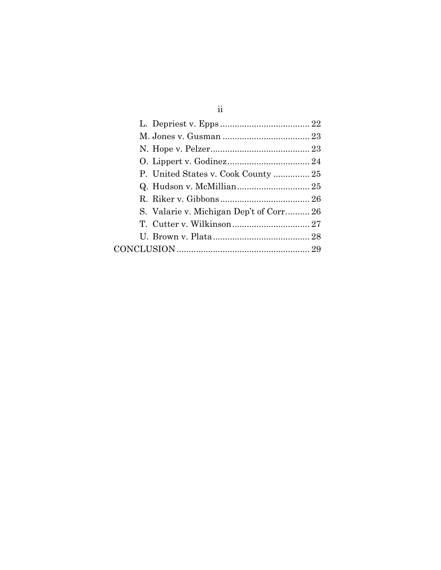| S. Valarie v. Michigan Dep't of Corr 26 |  |
|-----------------------------------------|--|
|                                         |  |
|                                         |  |
|                                         |  |
|                                         |  |

ii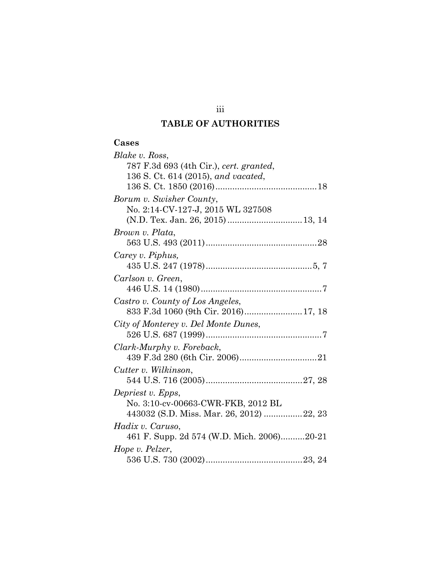# **TABLE OF AUTHORITIES**

#### **Cases**

| Blake v. Ross,                             |
|--------------------------------------------|
| 787 F.3d 693 (4th Cir.), cert. granted,    |
| 136 S. Ct. 614 (2015), and vacated,        |
|                                            |
| Borum v. Swisher County,                   |
| No. 2:14-CV-127-J, 2015 WL 327508          |
|                                            |
| Brown v. Plata,                            |
|                                            |
| Carey v. Piphus,                           |
|                                            |
| Carlson v. Green,                          |
|                                            |
| Castro v. County of Los Angeles,           |
|                                            |
| City of Monterey v. Del Monte Dunes,       |
|                                            |
| Clark-Murphy v. Foreback,                  |
|                                            |
| Cutter v. Wilkinson,                       |
|                                            |
| Depriest v. Epps,                          |
| No. 3:10-cv-00663-CWR-FKB, 2012 BL         |
| 443032 (S.D. Miss. Mar. 26, 2012) 22, 23   |
| Hadix v. Caruso,                           |
| 461 F. Supp. 2d 574 (W.D. Mich. 2006)20-21 |
| Hope v. Pelzer,                            |
|                                            |

iii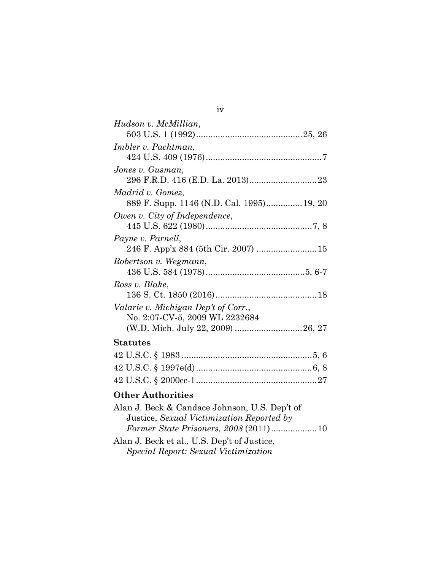| Hudson v. McMillian,                                                   |
|------------------------------------------------------------------------|
|                                                                        |
| Imbler v. Pachtman,                                                    |
|                                                                        |
| Jones v. Gusman,                                                       |
|                                                                        |
| Madrid v. Gomez,                                                       |
| 889 F. Supp. 1146 (N.D. Cal. 1995) 19, 20                              |
| Owen v. City of Independence,                                          |
|                                                                        |
| Payne v. Parnell,                                                      |
| 246 F. App'x 884 (5th Cir. 2007)  15                                   |
| Robertson v. Wegmann,                                                  |
|                                                                        |
| Ross v. Blake,                                                         |
|                                                                        |
| Valarie v. Michigan Dep't of Corr.,                                    |
| No. 2:07-CV-5, 2009 WL 2232684                                         |
| (W.D. Mich. July 22, 2009) 26, 27                                      |
| Statutes                                                               |
|                                                                        |
|                                                                        |
|                                                                        |
|                                                                        |
| <b>Other Authorities</b>                                               |
| $\Lambda$ leg I Deel $\theta$ Centre Islame II C Dee <sup>l</sup> is f |

| Alan J. Beck & Candace Johnson, U.S. Dep't of |  |
|-----------------------------------------------|--|
| Justice, Sexual Victimization Reported by     |  |
|                                               |  |
| Alan J. Beck et al., U.S. Dep't of Justice,   |  |
| <i>Special Report: Sexual Victimization</i>   |  |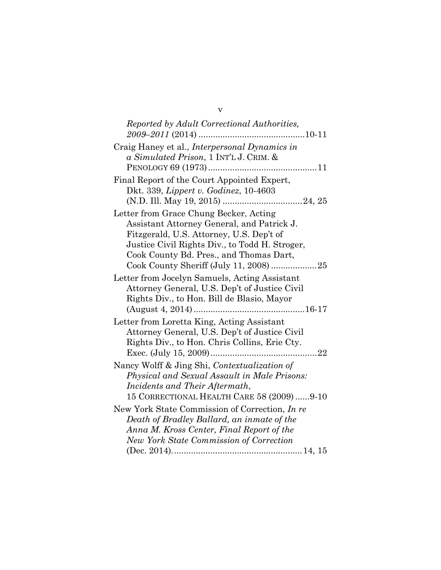| Reported by Adult Correctional Authorities,    |
|------------------------------------------------|
|                                                |
| Craig Haney et al., Interpersonal Dynamics in  |
| a Simulated Prison, 1 INT'L J. CRIM. &         |
|                                                |
| Final Report of the Court Appointed Expert,    |
| Dkt. 339, <i>Lippert v. Godinez</i> , 10-4603  |
|                                                |
| Letter from Grace Chung Becker, Acting         |
| Assistant Attorney General, and Patrick J.     |
| Fitzgerald, U.S. Attorney, U.S. Dep't of       |
| Justice Civil Rights Div., to Todd H. Stroger, |
| Cook County Bd. Pres., and Thomas Dart,        |
| Cook County Sheriff (July 11, 2008) 25         |
| Letter from Jocelyn Samuels, Acting Assistant  |
| Attorney General, U.S. Dep't of Justice Civil  |
| Rights Div., to Hon. Bill de Blasio, Mayor     |
|                                                |
| Letter from Loretta King, Acting Assistant     |
| Attorney General, U.S. Dep't of Justice Civil  |
| Rights Div., to Hon. Chris Collins, Erie Cty.  |
|                                                |
| Nancy Wolff & Jing Shi, Contextualization of   |
| Physical and Sexual Assault in Male Prisons:   |
| Incidents and Their Aftermath,                 |
| 15 CORRECTIONAL HEALTH CARE 58 (2009) 9-10     |
| New York State Commission of Correction, In re |
|                                                |
| Death of Bradley Ballard, an inmate of the     |
| Anna M. Kross Center, Final Report of the      |
| <b>New York State Commission of Correction</b> |
|                                                |

v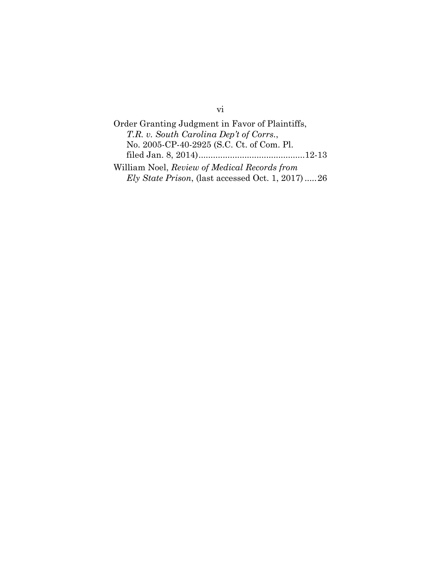Order Granting Judgment in Favor of Plaintiffs, *T.R. v. South Carolina Dep't of Corrs.*, No. 2005-CP-40-2925 (S.C. Ct. of Com. Pl. filed Jan. 8, 2014) ............................................ 12-13 William Noel, *Review of Medical Records from Ely State Prison*, (last accessed Oct. 1, 2017) *.....* 26

vi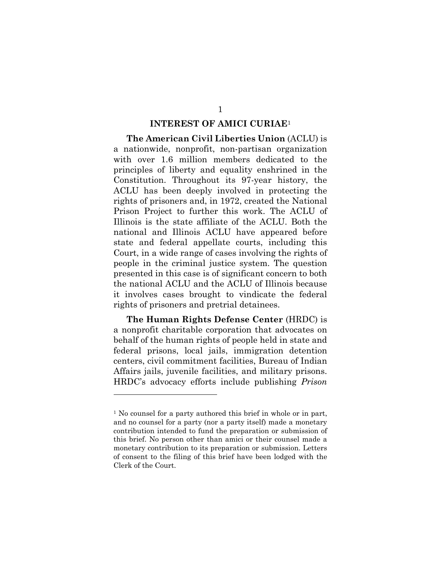#### **INTEREST OF AMICI CURIAE**<sup>1</sup>

**The American Civil Liberties Union** (ACLU) is a nationwide, nonprofit, non-partisan organization with over 1.6 million members dedicated to the principles of liberty and equality enshrined in the Constitution. Throughout its 97-year history, the ACLU has been deeply involved in protecting the rights of prisoners and, in 1972, created the National Prison Project to further this work. The ACLU of Illinois is the state affiliate of the ACLU. Both the national and Illinois ACLU have appeared before state and federal appellate courts, including this Court, in a wide range of cases involving the rights of people in the criminal justice system. The question presented in this case is of significant concern to both the national ACLU and the ACLU of Illinois because it involves cases brought to vindicate the federal rights of prisoners and pretrial detainees.

**The Human Rights Defense Center** (HRDC) is a nonprofit charitable corporation that advocates on behalf of the human rights of people held in state and federal prisons, local jails, immigration detention centers, civil commitment facilities, Bureau of Indian Affairs jails, juvenile facilities, and military prisons. HRDC's advocacy efforts include publishing *Prison* 

l

<sup>1</sup> No counsel for a party authored this brief in whole or in part, and no counsel for a party (nor a party itself) made a monetary contribution intended to fund the preparation or submission of this brief. No person other than amici or their counsel made a monetary contribution to its preparation or submission. Letters of consent to the filing of this brief have been lodged with the Clerk of the Court.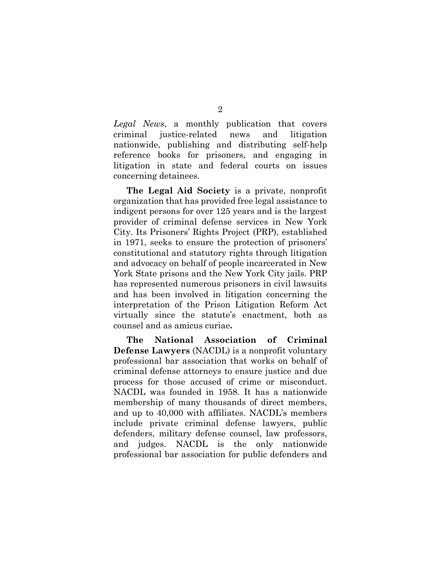*Legal News*, a monthly publication that covers criminal justice-related news and litigation nationwide, publishing and distributing self-help reference books for prisoners, and engaging in litigation in state and federal courts on issues concerning detainees.

**The Legal Aid Society** is a private, nonprofit organization that has provided free legal assistance to indigent persons for over 125 years and is the largest provider of criminal defense services in New York City. Its Prisoners' Rights Project (PRP), established in 1971, seeks to ensure the protection of prisoners' constitutional and statutory rights through litigation and advocacy on behalf of people incarcerated in New York State prisons and the New York City jails. PRP has represented numerous prisoners in civil lawsuits and has been involved in litigation concerning the interpretation of the Prison Litigation Reform Act virtually since the statute's enactment, both as counsel and as amicus curiae**.** 

**The National Association of Criminal Defense Lawyers** (NACDL) is a nonprofit voluntary professional bar association that works on behalf of criminal defense attorneys to ensure justice and due process for those accused of crime or misconduct. NACDL was founded in 1958. It has a nationwide membership of many thousands of direct members, and up to 40,000 with affiliates. NACDL's members include private criminal defense lawyers, public defenders, military defense counsel, law professors, and judges. NACDL is the only nationwide professional bar association for public defenders and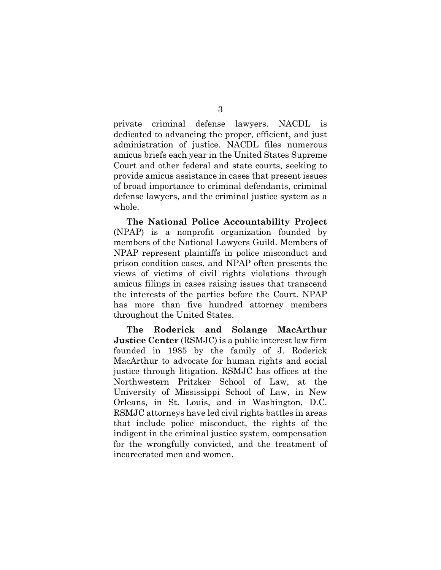private criminal defense lawyers. NACDL is dedicated to advancing the proper, efficient, and just administration of justice. NACDL files numerous amicus briefs each year in the United States Supreme Court and other federal and state courts, seeking to provide amicus assistance in cases that present issues of broad importance to criminal defendants, criminal defense lawyers, and the criminal justice system as a whole.

**The National Police Accountability Project**  (NPAP) is a nonprofit organization founded by members of the National Lawyers Guild. Members of NPAP represent plaintiffs in police misconduct and prison condition cases, and NPAP often presents the views of victims of civil rights violations through amicus filings in cases raising issues that transcend the interests of the parties before the Court. NPAP has more than five hundred attorney members throughout the United States.

**The Roderick and Solange MacArthur Justice Center** (RSMJC) is a public interest law firm founded in 1985 by the family of J. Roderick MacArthur to advocate for human rights and social justice through litigation. RSMJC has offices at the Northwestern Pritzker School of Law, at the University of Mississippi School of Law, in New Orleans, in St. Louis, and in Washington, D.C. RSMJC attorneys have led civil rights battles in areas that include police misconduct, the rights of the indigent in the criminal justice system, compensation for the wrongfully convicted, and the treatment of incarcerated men and women.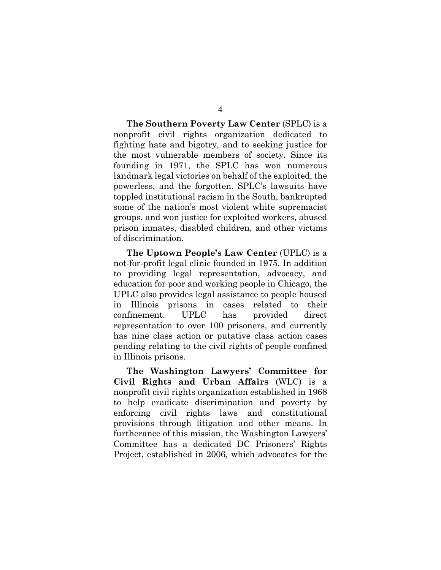**The Southern Poverty Law Center** (SPLC) is a nonprofit civil rights organization dedicated to fighting hate and bigotry, and to seeking justice for the most vulnerable members of society. Since its founding in 1971, the SPLC has won numerous landmark legal victories on behalf of the exploited, the powerless, and the forgotten. SPLC's lawsuits have toppled institutional racism in the South, bankrupted some of the nation's most violent white supremacist groups, and won justice for exploited workers, abused prison inmates, disabled children, and other victims of discrimination.

**The Uptown People's Law Center** (UPLC) is a not-for-profit legal clinic founded in 1975. In addition to providing legal representation, advocacy, and education for poor and working people in Chicago, the UPLC also provides legal assistance to people housed in Illinois prisons in cases related to their confinement. UPLC has provided direct representation to over 100 prisoners, and currently has nine class action or putative class action cases pending relating to the civil rights of people confined in Illinois prisons.

**The Washington Lawyers' Committee for Civil Rights and Urban Affairs** (WLC) is a nonprofit civil rights organization established in 1968 to help eradicate discrimination and poverty by enforcing civil rights laws and constitutional provisions through litigation and other means. In furtherance of this mission, the Washington Lawyers' Committee has a dedicated DC Prisoners' Rights Project, established in 2006, which advocates for the

4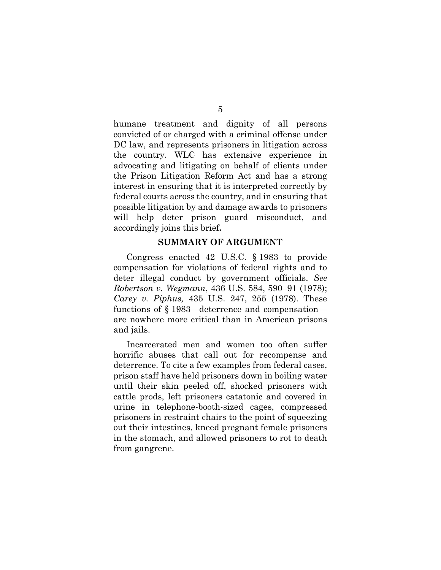humane treatment and dignity of all persons convicted of or charged with a criminal offense under DC law, and represents prisoners in litigation across the country. WLC has extensive experience in advocating and litigating on behalf of clients under the Prison Litigation Reform Act and has a strong interest in ensuring that it is interpreted correctly by federal courts across the country, and in ensuring that possible litigation by and damage awards to prisoners will help deter prison guard misconduct, and accordingly joins this brief**.** 

#### **SUMMARY OF ARGUMENT**

Congress enacted 42 U.S.C. § 1983 to provide compensation for violations of federal rights and to deter illegal conduct by government officials. *See Robertson v. Wegmann*, 436 U.S. 584, 590–91 (1978); *Carey v. Piphus,* 435 U.S. 247, 255 (1978). These functions of § 1983—deterrence and compensation are nowhere more critical than in American prisons and jails.

Incarcerated men and women too often suffer horrific abuses that call out for recompense and deterrence. To cite a few examples from federal cases, prison staff have held prisoners down in boiling water until their skin peeled off, shocked prisoners with cattle prods, left prisoners catatonic and covered in urine in telephone-booth-sized cages, compressed prisoners in restraint chairs to the point of squeezing out their intestines, kneed pregnant female prisoners in the stomach, and allowed prisoners to rot to death from gangrene.

5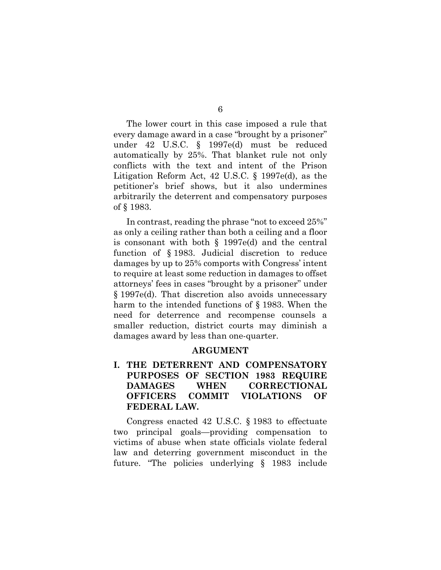6

The lower court in this case imposed a rule that every damage award in a case "brought by a prisoner" under 42 U.S.C. § 1997e(d) must be reduced automatically by 25%. That blanket rule not only conflicts with the text and intent of the Prison Litigation Reform Act, 42 U.S.C. § 1997e(d), as the petitioner's brief shows, but it also undermines arbitrarily the deterrent and compensatory purposes of § 1983.

In contrast, reading the phrase "not to exceed 25%" as only a ceiling rather than both a ceiling and a floor is consonant with both § 1997e(d) and the central function of § 1983. Judicial discretion to reduce damages by up to 25% comports with Congress' intent to require at least some reduction in damages to offset attorneys' fees in cases "brought by a prisoner" under § 1997e(d). That discretion also avoids unnecessary harm to the intended functions of § 1983. When the need for deterrence and recompense counsels a smaller reduction, district courts may diminish a damages award by less than one-quarter.

## **ARGUMENT**

# **I. THE DETERRENT AND COMPENSATORY PURPOSES OF SECTION 1983 REQUIRE DAMAGES WHEN CORRECTIONAL OFFICERS COMMIT VIOLATIONS OF FEDERAL LAW.**

Congress enacted 42 U.S.C. § 1983 to effectuate two principal goals—providing compensation to victims of abuse when state officials violate federal law and deterring government misconduct in the future. "The policies underlying § 1983 include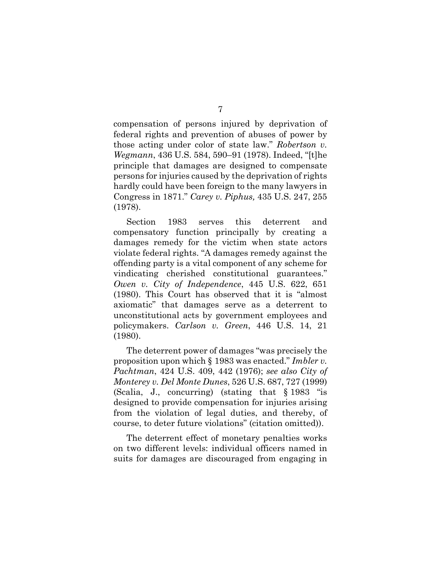compensation of persons injured by deprivation of federal rights and prevention of abuses of power by those acting under color of state law." *Robertson v. Wegmann*, 436 U.S. 584, 590–91 (1978). Indeed, "[t]he principle that damages are designed to compensate persons for injuries caused by the deprivation of rights hardly could have been foreign to the many lawyers in Congress in 1871." *Carey v. Piphus,* 435 U.S. 247, 255 (1978).

Section 1983 serves this deterrent and compensatory function principally by creating a damages remedy for the victim when state actors violate federal rights. "A damages remedy against the offending party is a vital component of any scheme for vindicating cherished constitutional guarantees." *Owen v. City of Independence*, 445 U.S. 622, 651 (1980). This Court has observed that it is "almost axiomatic" that damages serve as a deterrent to unconstitutional acts by government employees and policymakers. *Carlson v. Green*, 446 U.S. 14, 21 (1980).

The deterrent power of damages "was precisely the proposition upon which § 1983 was enacted." *Imbler v. Pachtman*, 424 U.S. 409, 442 (1976); *see also City of Monterey v. Del Monte Dunes*, 526 U.S. 687, 727 (1999) (Scalia, J., concurring) (stating that § 1983 "is designed to provide compensation for injuries arising from the violation of legal duties, and thereby, of course, to deter future violations" (citation omitted)).

The deterrent effect of monetary penalties works on two different levels: individual officers named in suits for damages are discouraged from engaging in

## 7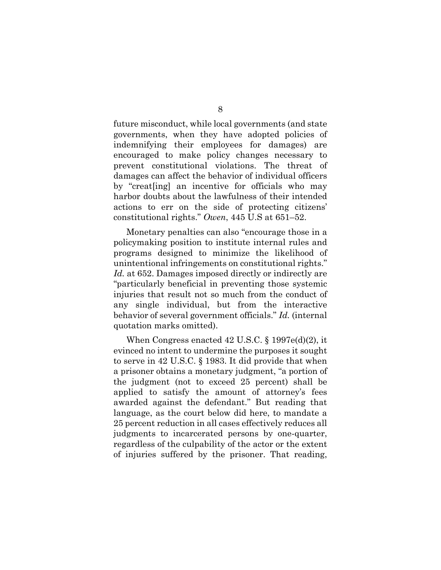future misconduct, while local governments (and state governments, when they have adopted policies of indemnifying their employees for damages) are encouraged to make policy changes necessary to prevent constitutional violations. The threat of damages can affect the behavior of individual officers by "creat[ing] an incentive for officials who may harbor doubts about the lawfulness of their intended actions to err on the side of protecting citizens' constitutional rights." *Owen*, 445 U.S at 651–52.

Monetary penalties can also "encourage those in a policymaking position to institute internal rules and programs designed to minimize the likelihood of unintentional infringements on constitutional rights." Id. at 652. Damages imposed directly or indirectly are "particularly beneficial in preventing those systemic injuries that result not so much from the conduct of any single individual, but from the interactive behavior of several government officials." *Id.* (internal quotation marks omitted).

When Congress enacted 42 U.S.C. § 1997e(d)(2), it evinced no intent to undermine the purposes it sought to serve in 42 U.S.C. § 1983. It did provide that when a prisoner obtains a monetary judgment, "a portion of the judgment (not to exceed 25 percent) shall be applied to satisfy the amount of attorney's fees awarded against the defendant." But reading that language, as the court below did here, to mandate a 25 percent reduction in all cases effectively reduces all judgments to incarcerated persons by one-quarter, regardless of the culpability of the actor or the extent of injuries suffered by the prisoner. That reading,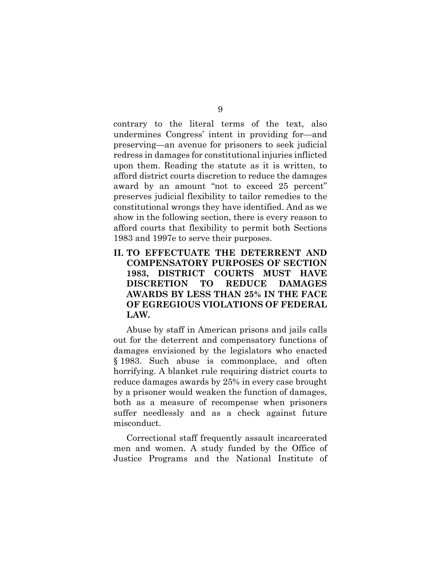contrary to the literal terms of the text, also undermines Congress' intent in providing for—and preserving—an avenue for prisoners to seek judicial redress in damages for constitutional injuries inflicted upon them. Reading the statute as it is written, to afford district courts discretion to reduce the damages award by an amount "not to exceed 25 percent" preserves judicial flexibility to tailor remedies to the constitutional wrongs they have identified. And as we show in the following section, there is every reason to afford courts that flexibility to permit both Sections 1983 and 1997e to serve their purposes.

**II. TO EFFECTUATE THE DETERRENT AND COMPENSATORY PURPOSES OF SECTION 1983, DISTRICT COURTS MUST HAVE DISCRETION TO REDUCE DAMAGES AWARDS BY LESS THAN 25% IN THE FACE OF EGREGIOUS VIOLATIONS OF FEDERAL LAW.** 

Abuse by staff in American prisons and jails calls out for the deterrent and compensatory functions of damages envisioned by the legislators who enacted § 1983. Such abuse is commonplace, and often horrifying. A blanket rule requiring district courts to reduce damages awards by 25% in every case brought by a prisoner would weaken the function of damages, both as a measure of recompense when prisoners suffer needlessly and as a check against future misconduct.

Correctional staff frequently assault incarcerated men and women. A study funded by the Office of Justice Programs and the National Institute of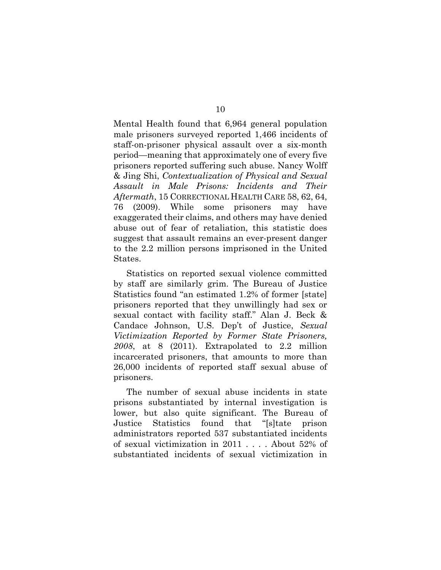Mental Health found that 6,964 general population male prisoners surveyed reported 1,466 incidents of staff-on-prisoner physical assault over a six-month period—meaning that approximately one of every five prisoners reported suffering such abuse. Nancy Wolff & Jing Shi, *Contextualization of Physical and Sexual Assault in Male Prisons: Incidents and Their Aftermath*, 15 CORRECTIONAL HEALTH CARE 58, 62, 64, 76 (2009). While some prisoners may have exaggerated their claims, and others may have denied abuse out of fear of retaliation, this statistic does suggest that assault remains an ever-present danger to the 2.2 million persons imprisoned in the United States.

Statistics on reported sexual violence committed by staff are similarly grim. The Bureau of Justice Statistics found "an estimated 1.2% of former [state] prisoners reported that they unwillingly had sex or sexual contact with facility staff." Alan J. Beck & Candace Johnson, U.S. Dep't of Justice, *Sexual Victimization Reported by Former State Prisoners, 2008*, at 8 (2011). Extrapolated to 2.2 million incarcerated prisoners, that amounts to more than 26,000 incidents of reported staff sexual abuse of prisoners.

The number of sexual abuse incidents in state prisons substantiated by internal investigation is lower, but also quite significant. The Bureau of Justice Statistics found that "[s]tate prison administrators reported 537 substantiated incidents of sexual victimization in 2011 . . . . About 52% of substantiated incidents of sexual victimization in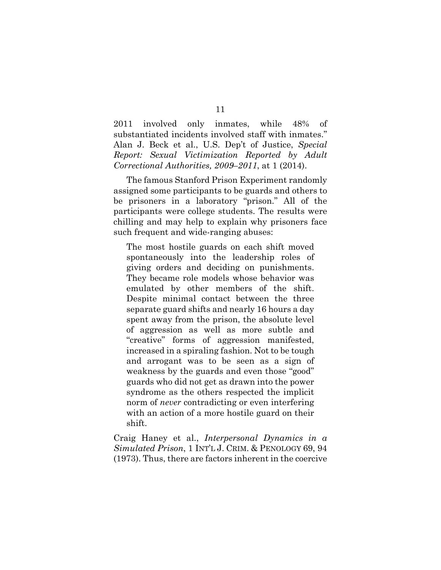2011 involved only inmates, while 48% of substantiated incidents involved staff with inmates." Alan J. Beck et al., U.S. Dep't of Justice, *Special Report: Sexual Victimization Reported by Adult Correctional Authorities, 2009–2011*, at 1 (2014).

The famous Stanford Prison Experiment randomly assigned some participants to be guards and others to be prisoners in a laboratory "prison." All of the participants were college students. The results were chilling and may help to explain why prisoners face such frequent and wide-ranging abuses:

The most hostile guards on each shift moved spontaneously into the leadership roles of giving orders and deciding on punishments. They became role models whose behavior was emulated by other members of the shift. Despite minimal contact between the three separate guard shifts and nearly 16 hours a day spent away from the prison, the absolute level of aggression as well as more subtle and "creative" forms of aggression manifested, increased in a spiraling fashion. Not to be tough and arrogant was to be seen as a sign of weakness by the guards and even those "good" guards who did not get as drawn into the power syndrome as the others respected the implicit norm of *never* contradicting or even interfering with an action of a more hostile guard on their shift.

Craig Haney et al., *Interpersonal Dynamics in a Simulated Prison*, 1 INT'L J. CRIM. & PENOLOGY 69, 94 (1973). Thus, there are factors inherent in the coercive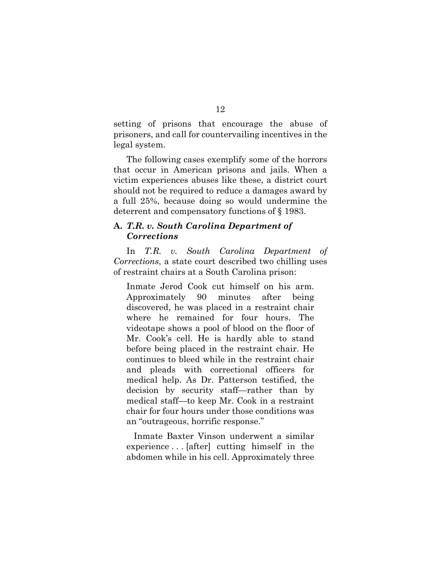setting of prisons that encourage the abuse of prisoners, and call for countervailing incentives in the legal system.

The following cases exemplify some of the horrors that occur in American prisons and jails. When a victim experiences abuses like these, a district court should not be required to reduce a damages award by a full 25%, because doing so would undermine the deterrent and compensatory functions of § 1983.

# **A.** *T.R. v. South Carolina Department of Corrections*

In *T.R. v. South Carolina Department of Corrections*, a state court described two chilling uses of restraint chairs at a South Carolina prison:

Inmate Jerod Cook cut himself on his arm. Approximately 90 minutes after being discovered, he was placed in a restraint chair where he remained for four hours. The videotape shows a pool of blood on the floor of Mr. Cook's cell. He is hardly able to stand before being placed in the restraint chair. He continues to bleed while in the restraint chair and pleads with correctional officers for medical help. As Dr. Patterson testified, the decision by security staff—rather than by medical staff—to keep Mr. Cook in a restraint chair for four hours under those conditions was an "outrageous, horrific response."

 Inmate Baxter Vinson underwent a similar experience . . . [after] cutting himself in the abdomen while in his cell. Approximately three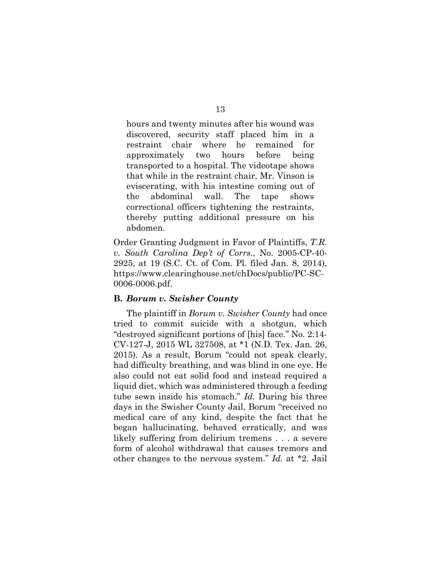hours and twenty minutes after his wound was discovered, security staff placed him in a restraint chair where he remained for approximately two hours before being transported to a hospital. The videotape shows that while in the restraint chair, Mr. Vinson is eviscerating, with his intestine coming out of the abdominal wall. The tape shows correctional officers tightening the restraints, thereby putting additional pressure on his abdomen.

Order Granting Judgment in Favor of Plaintiffs, *T.R. v. South Carolina Dep't of Corrs.*, No. 2005-CP-40- 2925, at 19 (S.C. Ct. of Com. Pl. filed Jan. 8, 2014), https://www.clearinghouse.net/chDocs/public/PC-SC-0006-0006.pdf.

## **B.** *Borum v. Swisher County*

The plaintiff in *Borum v. Swisher County* had once tried to commit suicide with a shotgun, which "destroyed significant portions of [his] face." No. 2:14- CV-127-J, 2015 WL 327508, at \*1 (N.D. Tex. Jan. 26, 2015). As a result, Borum "could not speak clearly, had difficulty breathing, and was blind in one eye. He also could not eat solid food and instead required a liquid diet, which was administered through a feeding tube sewn inside his stomach." *Id.* During his three days in the Swisher County Jail, Borum "received no medical care of any kind, despite the fact that he began hallucinating, behaved erratically, and was likely suffering from delirium tremens . . . a severe form of alcohol withdrawal that causes tremors and other changes to the nervous system." *Id.* at \*2. Jail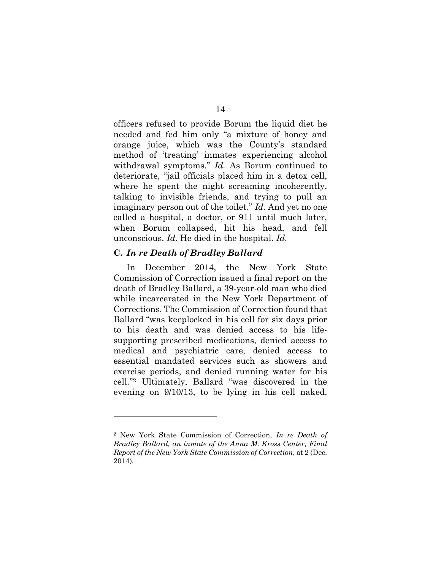officers refused to provide Borum the liquid diet he needed and fed him only "a mixture of honey and orange juice, which was the County's standard method of 'treating' inmates experiencing alcohol withdrawal symptoms." *Id.* As Borum continued to deteriorate, "jail officials placed him in a detox cell, where he spent the night screaming incoherently, talking to invisible friends, and trying to pull an imaginary person out of the toilet." *Id.* And yet no one called a hospital, a doctor, or 911 until much later, when Borum collapsed, hit his head, and fell unconscious. *Id.* He died in the hospital. *Id.* 

## **C.** *In re Death of Bradley Ballard*

l

In December 2014, the New York State Commission of Correction issued a final report on the death of Bradley Ballard, a 39-year-old man who died while incarcerated in the New York Department of Corrections. The Commission of Correction found that Ballard "was keeplocked in his cell for six days prior to his death and was denied access to his lifesupporting prescribed medications, denied access to medical and psychiatric care, denied access to essential mandated services such as showers and exercise periods, and denied running water for his cell."2 Ultimately, Ballard "was discovered in the evening on 9/10/13, to be lying in his cell naked,

<sup>2</sup> New York State Commission of Correction, *In re Death of Bradley Ballard, an inmate of the Anna M. Kross Center, Final Report of the New York State Commission of Correction*, at 2 (Dec. 2014)*.*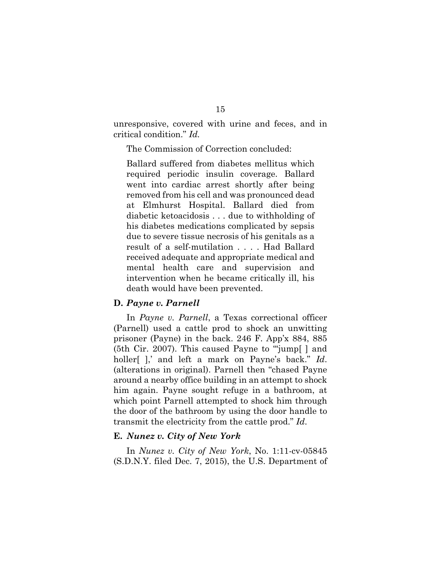unresponsive, covered with urine and feces, and in critical condition." *Id.* 

The Commission of Correction concluded:

Ballard suffered from diabetes mellitus which required periodic insulin coverage. Ballard went into cardiac arrest shortly after being removed from his cell and was pronounced dead at Elmhurst Hospital. Ballard died from diabetic ketoacidosis . . . due to withholding of his diabetes medications complicated by sepsis due to severe tissue necrosis of his genitals as a result of a self-mutilation . . . . Had Ballard received adequate and appropriate medical and mental health care and supervision and intervention when he became critically ill, his death would have been prevented.

#### **D.** *Payne v. Parnell*

In *Payne v. Parnell*, a Texas correctional officer (Parnell) used a cattle prod to shock an unwitting prisoner (Payne) in the back. 246 F. App'x 884, 885 (5th Cir. 2007). This caused Payne to "'jump[ ] and holler[ ],' and left a mark on Payne's back." *Id*. (alterations in original). Parnell then "chased Payne around a nearby office building in an attempt to shock him again. Payne sought refuge in a bathroom, at which point Parnell attempted to shock him through the door of the bathroom by using the door handle to transmit the electricity from the cattle prod." *Id*.

#### **E.** *Nunez v. City of New York*

In *Nunez v. City of New York*, No. 1:11-cv-05845 (S.D.N.Y. filed Dec. 7, 2015), the U.S. Department of

## 15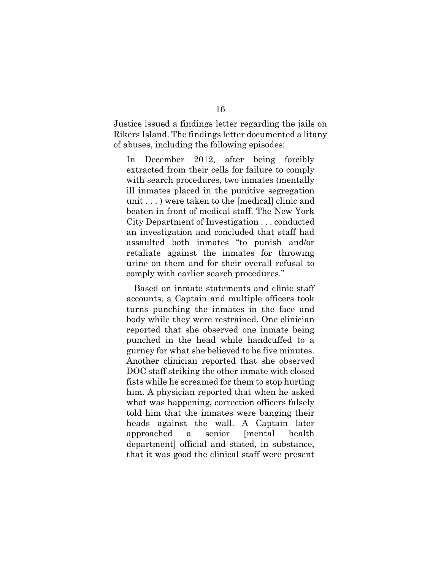Justice issued a findings letter regarding the jails on Rikers Island. The findings letter documented a litany of abuses, including the following episodes:

In December 2012, after being forcibly extracted from their cells for failure to comply with search procedures, two inmates (mentally ill inmates placed in the punitive segregation unit . . . ) were taken to the [medical] clinic and beaten in front of medical staff. The New York City Department of Investigation . . . conducted an investigation and concluded that staff had assaulted both inmates "to punish and/or retaliate against the inmates for throwing urine on them and for their overall refusal to comply with earlier search procedures."

 Based on inmate statements and clinic staff accounts, a Captain and multiple officers took turns punching the inmates in the face and body while they were restrained. One clinician reported that she observed one inmate being punched in the head while handcuffed to a gurney for what she believed to be five minutes. Another clinician reported that she observed DOC staff striking the other inmate with closed fists while he screamed for them to stop hurting him. A physician reported that when he asked what was happening, correction officers falsely told him that the inmates were banging their heads against the wall. A Captain later approached a senior [mental health department] official and stated, in substance, that it was good the clinical staff were present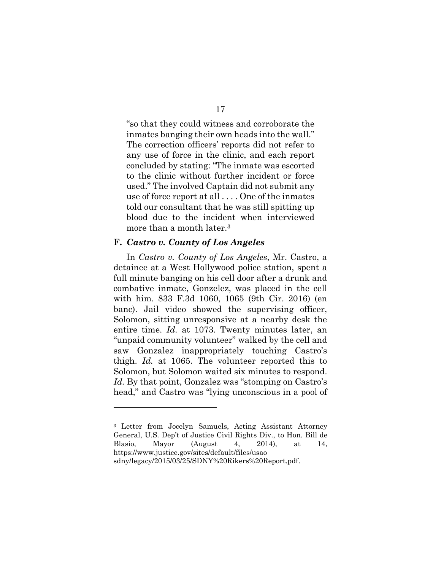"so that they could witness and corroborate the inmates banging their own heads into the wall." The correction officers' reports did not refer to any use of force in the clinic, and each report concluded by stating: "The inmate was escorted to the clinic without further incident or force used." The involved Captain did not submit any use of force report at all . . . . One of the inmates told our consultant that he was still spitting up blood due to the incident when interviewed more than a month later.<sup>3</sup>

### **F.** *Castro v. County of Los Angeles*

l

In *Castro v. County of Los Angeles*, Mr. Castro, a detainee at a West Hollywood police station, spent a full minute banging on his cell door after a drunk and combative inmate, Gonzelez, was placed in the cell with him. 833 F.3d 1060, 1065 (9th Cir. 2016) (en banc). Jail video showed the supervising officer, Solomon, sitting unresponsive at a nearby desk the entire time. *Id.* at 1073. Twenty minutes later, an "unpaid community volunteer" walked by the cell and saw Gonzalez inappropriately touching Castro's thigh. *Id.* at 1065. The volunteer reported this to Solomon, but Solomon waited six minutes to respond. *Id.* By that point, Gonzalez was "stomping on Castro's head," and Castro was "lying unconscious in a pool of

<sup>3</sup> Letter from Jocelyn Samuels, Acting Assistant Attorney General, U.S. Dep't of Justice Civil Rights Div., to Hon. Bill de Blasio, Mayor (August 4, 2014), at 14, https://www.justice.gov/sites/default/files/usao sdny/legacy/2015/03/25/SDNY%20Rikers%20Report.pdf.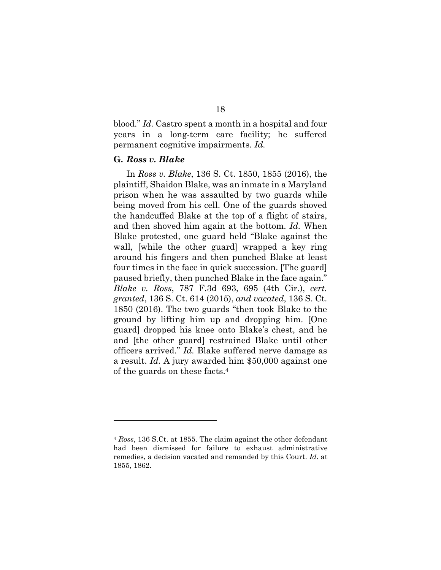blood." *Id.* Castro spent a month in a hospital and four years in a long-term care facility; he suffered permanent cognitive impairments. *Id.* 

## **G.** *Ross v. Blake*

l

In *Ross v. Blake*, 136 S. Ct. 1850, 1855 (2016), the plaintiff, Shaidon Blake, was an inmate in a Maryland prison when he was assaulted by two guards while being moved from his cell. One of the guards shoved the handcuffed Blake at the top of a flight of stairs, and then shoved him again at the bottom. *Id.* When Blake protested, one guard held "Blake against the wall, [while the other guard] wrapped a key ring around his fingers and then punched Blake at least four times in the face in quick succession. [The guard] paused briefly, then punched Blake in the face again." *Blake v. Ross*, 787 F.3d 693, 695 (4th Cir.), *cert. granted*, 136 S. Ct. 614 (2015), *and vacated*, 136 S. Ct. 1850 (2016). The two guards "then took Blake to the ground by lifting him up and dropping him. [One guard] dropped his knee onto Blake's chest, and he and [the other guard] restrained Blake until other officers arrived." *Id.* Blake suffered nerve damage as a result. *Id.* A jury awarded him \$50,000 against one of the guards on these facts.4

<sup>4</sup> *Ross*, 136 S.Ct. at 1855. The claim against the other defendant had been dismissed for failure to exhaust administrative remedies, a decision vacated and remanded by this Court. *Id.* at 1855, 1862.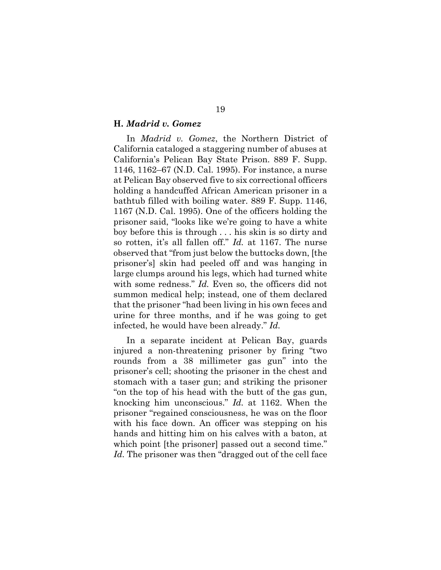#### **H.** *Madrid v. Gomez*

In *Madrid v. Gomez*, the Northern District of California cataloged a staggering number of abuses at California's Pelican Bay State Prison. 889 F. Supp. 1146, 1162–67 (N.D. Cal. 1995). For instance, a nurse at Pelican Bay observed five to six correctional officers holding a handcuffed African American prisoner in a bathtub filled with boiling water. 889 F. Supp. 1146, 1167 (N.D. Cal. 1995). One of the officers holding the prisoner said, "looks like we're going to have a white boy before this is through . . . his skin is so dirty and so rotten, it's all fallen off." *Id.* at 1167. The nurse observed that "from just below the buttocks down, [the prisoner's] skin had peeled off and was hanging in large clumps around his legs, which had turned white with some redness." *Id.* Even so, the officers did not summon medical help; instead, one of them declared that the prisoner "had been living in his own feces and urine for three months, and if he was going to get infected, he would have been already." *Id.*

In a separate incident at Pelican Bay, guards injured a non-threatening prisoner by firing "two rounds from a 38 millimeter gas gun" into the prisoner's cell; shooting the prisoner in the chest and stomach with a taser gun; and striking the prisoner "on the top of his head with the butt of the gas gun, knocking him unconscious." *Id.* at 1162. When the prisoner "regained consciousness, he was on the floor with his face down. An officer was stepping on his hands and hitting him on his calves with a baton, at which point [the prisoner] passed out a second time." Id. The prisoner was then "dragged out of the cell face"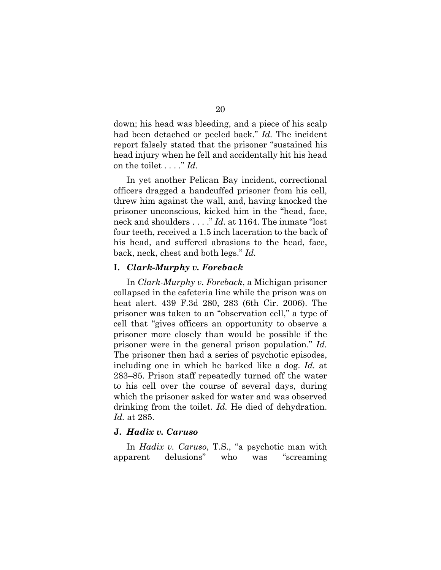down; his head was bleeding, and a piece of his scalp had been detached or peeled back." *Id.* The incident report falsely stated that the prisoner "sustained his head injury when he fell and accidentally hit his head on the toilet . . . ." *Id.*

In yet another Pelican Bay incident, correctional officers dragged a handcuffed prisoner from his cell, threw him against the wall, and, having knocked the prisoner unconscious, kicked him in the "head, face, neck and shoulders . . . ." *Id.* at 1164. The inmate "lost four teeth, received a 1.5 inch laceration to the back of his head, and suffered abrasions to the head, face, back, neck, chest and both legs." *Id.*

## **I.** *Clark-Murphy v. Foreback*

In *Clark-Murphy v. Foreback*, a Michigan prisoner collapsed in the cafeteria line while the prison was on heat alert. 439 F.3d 280, 283 (6th Cir. 2006). The prisoner was taken to an "observation cell," a type of cell that "gives officers an opportunity to observe a prisoner more closely than would be possible if the prisoner were in the general prison population." *Id.* The prisoner then had a series of psychotic episodes, including one in which he barked like a dog. *Id.* at 283–85. Prison staff repeatedly turned off the water to his cell over the course of several days, during which the prisoner asked for water and was observed drinking from the toilet. *Id.* He died of dehydration. *Id.* at 285.

### **J.** *Hadix v. Caruso*

In *Hadix v. Caruso*, T.S., "a psychotic man with apparent delusions" who was "screaming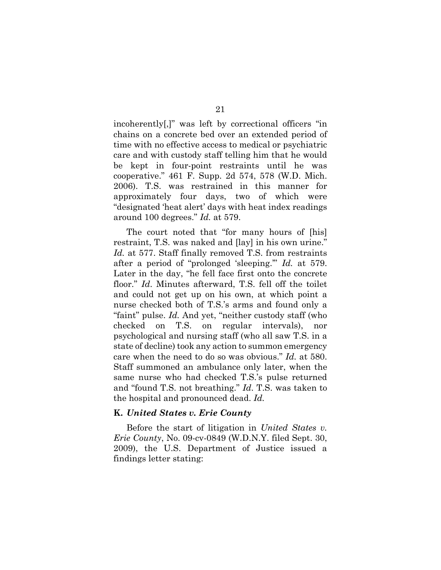incoherently[,]" was left by correctional officers "in chains on a concrete bed over an extended period of time with no effective access to medical or psychiatric care and with custody staff telling him that he would be kept in four-point restraints until he was cooperative." 461 F. Supp. 2d 574, 578 (W.D. Mich. 2006). T.S. was restrained in this manner for approximately four days, two of which were "designated 'heat alert' days with heat index readings around 100 degrees." *Id.* at 579.

The court noted that "for many hours of [his] restraint, T.S. was naked and [lay] in his own urine." *Id.* at 577. Staff finally removed T.S. from restraints after a period of "prolonged 'sleeping.'" *Id.* at 579. Later in the day, "he fell face first onto the concrete floor." *Id*. Minutes afterward, T.S. fell off the toilet and could not get up on his own, at which point a nurse checked both of T.S.'s arms and found only a "faint" pulse. *Id.* And yet, "neither custody staff (who checked on T.S. on regular intervals), nor psychological and nursing staff (who all saw T.S. in a state of decline) took any action to summon emergency care when the need to do so was obvious." *Id.* at 580. Staff summoned an ambulance only later, when the same nurse who had checked T.S.'s pulse returned and "found T.S. not breathing." *Id*. T.S. was taken to the hospital and pronounced dead. *Id.* 

## **K.** *United States v. Erie County*

Before the start of litigation in *United States v. Erie County*, No. 09-cv-0849 (W.D.N.Y. filed Sept. 30, 2009), the U.S. Department of Justice issued a findings letter stating: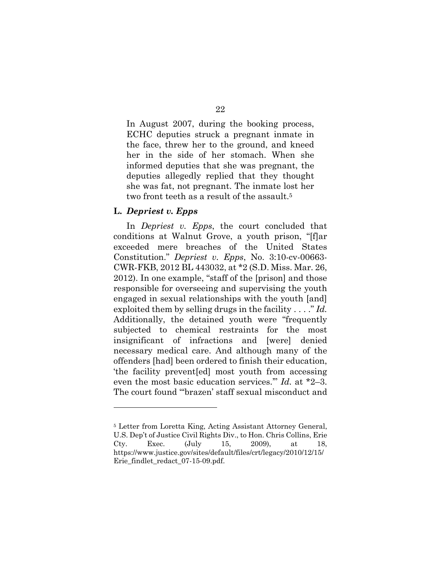In August 2007, during the booking process, ECHC deputies struck a pregnant inmate in the face, threw her to the ground, and kneed

22

her in the side of her stomach. When she informed deputies that she was pregnant, the deputies allegedly replied that they thought she was fat, not pregnant. The inmate lost her two front teeth as a result of the assault.<sup>5</sup>

# **L.** *Depriest v. Epps*

l

In *Depriest v. Epps*, the court concluded that conditions at Walnut Grove, a youth prison, "[f]ar exceeded mere breaches of the United States Constitution." *Depriest v. Epps*, No. 3:10-cv-00663- CWR-FKB, 2012 BL 443032, at \*2 (S.D. Miss. Mar. 26, 2012). In one example, "staff of the [prison] and those responsible for overseeing and supervising the youth engaged in sexual relationships with the youth [and] exploited them by selling drugs in the facility . . . ." *Id.* Additionally, the detained youth were "frequently subjected to chemical restraints for the most insignificant of infractions and [were] denied necessary medical care. And although many of the offenders [had] been ordered to finish their education, 'the facility prevent[ed] most youth from accessing even the most basic education services.'" *Id.* at \*2–3. The court found "'brazen' staff sexual misconduct and

<sup>5</sup> Letter from Loretta King, Acting Assistant Attorney General, U.S. Dep't of Justice Civil Rights Div., to Hon. Chris Collins, Erie Cty. Exec. (July 15, 2009), at 18, https://www.justice.gov/sites/default/files/crt/legacy/2010/12/15/ Erie findlet redact 07-15-09.pdf.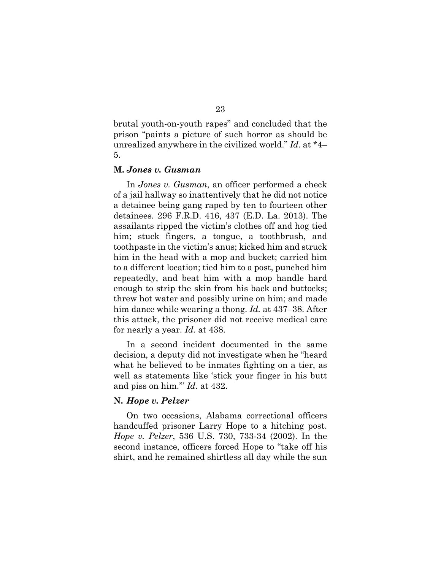brutal youth-on-youth rapes" and concluded that the prison "paints a picture of such horror as should be unrealized anywhere in the civilized world." *Id.* at \*4– 5.

#### **M.** *Jones v. Gusman*

In *Jones v. Gusman*, an officer performed a check of a jail hallway so inattentively that he did not notice a detainee being gang raped by ten to fourteen other detainees. 296 F.R.D. 416, 437 (E.D. La. 2013). The assailants ripped the victim's clothes off and hog tied him; stuck fingers, a tongue, a toothbrush, and toothpaste in the victim's anus; kicked him and struck him in the head with a mop and bucket; carried him to a different location; tied him to a post, punched him repeatedly, and beat him with a mop handle hard enough to strip the skin from his back and buttocks; threw hot water and possibly urine on him; and made him dance while wearing a thong. *Id.* at 437–38. After this attack, the prisoner did not receive medical care for nearly a year. *Id.* at 438.

In a second incident documented in the same decision, a deputy did not investigate when he "heard what he believed to be inmates fighting on a tier, as well as statements like 'stick your finger in his butt and piss on him.'" *Id.* at 432.

### **N.** *Hope v. Pelzer*

On two occasions, Alabama correctional officers handcuffed prisoner Larry Hope to a hitching post. *Hope v. Pelzer*, 536 U.S. 730, 733-34 (2002). In the second instance, officers forced Hope to "take off his shirt, and he remained shirtless all day while the sun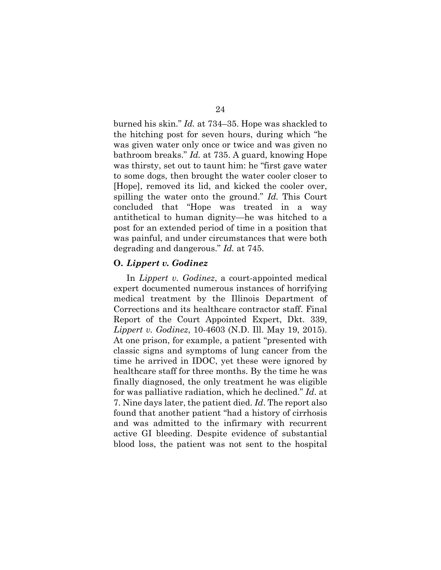burned his skin." *Id.* at 734–35. Hope was shackled to the hitching post for seven hours, during which "he was given water only once or twice and was given no bathroom breaks." *Id.* at 735. A guard, knowing Hope was thirsty, set out to taunt him: he "first gave water to some dogs, then brought the water cooler closer to [Hope], removed its lid, and kicked the cooler over, spilling the water onto the ground." *Id.* This Court concluded that "Hope was treated in a way antithetical to human dignity—he was hitched to a post for an extended period of time in a position that was painful, and under circumstances that were both degrading and dangerous." *Id.* at 745.

#### **O.** *Lippert v. Godinez*

In *Lippert v. Godinez*, a court-appointed medical expert documented numerous instances of horrifying medical treatment by the Illinois Department of Corrections and its healthcare contractor staff. Final Report of the Court Appointed Expert, Dkt. 339, *Lippert v. Godinez*, 10-4603 (N.D. Ill. May 19, 2015). At one prison, for example, a patient "presented with classic signs and symptoms of lung cancer from the time he arrived in IDOC, yet these were ignored by healthcare staff for three months. By the time he was finally diagnosed, the only treatment he was eligible for was palliative radiation, which he declined." *Id*. at 7. Nine days later, the patient died. *Id*. The report also found that another patient "had a history of cirrhosis and was admitted to the infirmary with recurrent active GI bleeding. Despite evidence of substantial blood loss, the patient was not sent to the hospital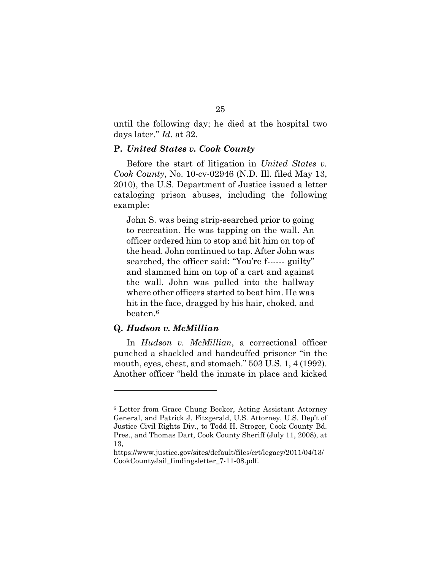until the following day; he died at the hospital two days later." *Id*. at 32.

### **P.** *United States v. Cook County*

Before the start of litigation in *United States v. Cook County*, No. 10-cv-02946 (N.D. Ill. filed May 13, 2010), the U.S. Department of Justice issued a letter cataloging prison abuses, including the following example:

John S. was being strip-searched prior to going to recreation. He was tapping on the wall. An officer ordered him to stop and hit him on top of the head. John continued to tap. After John was searched, the officer said: "You're f------ guilty" and slammed him on top of a cart and against the wall. John was pulled into the hallway where other officers started to beat him. He was hit in the face, dragged by his hair, choked, and beaten.<sup>6</sup>

## **Q.** *Hudson v. McMillian*

l

In *Hudson v. McMillian*, a correctional officer punched a shackled and handcuffed prisoner "in the mouth, eyes, chest, and stomach." 503 U.S. 1, 4 (1992). Another officer "held the inmate in place and kicked

<sup>6</sup> Letter from Grace Chung Becker, Acting Assistant Attorney General, and Patrick J. Fitzgerald, U.S. Attorney, U.S. Dep't of Justice Civil Rights Div., to Todd H. Stroger, Cook County Bd. Pres., and Thomas Dart, Cook County Sheriff (July 11, 2008), at 13,

https://www.justice.gov/sites/default/files/crt/legacy/2011/04/13/ CookCountyJail\_findingsletter\_7-11-08.pdf.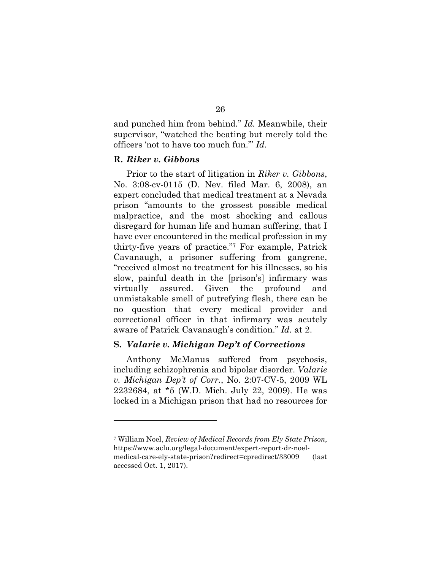and punched him from behind." *Id.* Meanwhile, their supervisor, "watched the beating but merely told the officers 'not to have too much fun.'" *Id.* 

### **R.** *Riker v. Gibbons*

l

Prior to the start of litigation in *Riker v. Gibbons*, No. 3:08-cv-0115 (D. Nev. filed Mar. 6, 2008), an expert concluded that medical treatment at a Nevada prison "amounts to the grossest possible medical malpractice, and the most shocking and callous disregard for human life and human suffering, that I have ever encountered in the medical profession in my thirty-five years of practice."7 For example, Patrick Cavanaugh, a prisoner suffering from gangrene, "received almost no treatment for his illnesses, so his slow, painful death in the [prison's] infirmary was virtually assured. Given the profound and unmistakable smell of putrefying flesh, there can be no question that every medical provider and correctional officer in that infirmary was acutely aware of Patrick Cavanaugh's condition." *Id.* at 2.

## **S.** *Valarie v. Michigan Dep't of Corrections*

Anthony McManus suffered from psychosis, including schizophrenia and bipolar disorder. *Valarie v. Michigan Dep't of Corr.*, No. 2:07-CV-5, 2009 WL 2232684, at \*5 (W.D. Mich. July 22, 2009). He was locked in a Michigan prison that had no resources for

<sup>7</sup> William Noel, *Review of Medical Records from Ely State Prison*, https://www.aclu.org/legal-document/expert-report-dr-noelmedical-care-ely-state-prison?redirect=cpredirect/33009 (last accessed Oct. 1, 2017).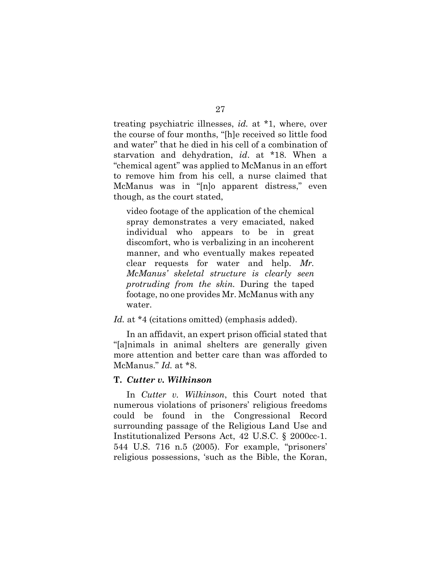treating psychiatric illnesses, *id.* at \*1, where, over the course of four months, "[h]e received so little food and water" that he died in his cell of a combination of starvation and dehydration, *id*. at \*18. When a "chemical agent" was applied to McManus in an effort to remove him from his cell, a nurse claimed that McManus was in "[n]o apparent distress," even though, as the court stated,

video footage of the application of the chemical spray demonstrates a very emaciated, naked individual who appears to be in great discomfort, who is verbalizing in an incoherent manner, and who eventually makes repeated clear requests for water and help. *Mr. McManus' skeletal structure is clearly seen protruding from the skin.* During the taped footage, no one provides Mr. McManus with any water.

### Id. at \*4 (citations omitted) (emphasis added).

In an affidavit, an expert prison official stated that "[a]nimals in animal shelters are generally given more attention and better care than was afforded to McManus." *Id.* at \*8.

#### **T.** *Cutter v. Wilkinson*

In *Cutter v. Wilkinson*, this Court noted that numerous violations of prisoners' religious freedoms could be found in the Congressional Record surrounding passage of the Religious Land Use and Institutionalized Persons Act, 42 U.S.C. § 2000cc-1. 544 U.S. 716 n.5 (2005). For example, "prisoners' religious possessions, 'such as the Bible, the Koran,

## 27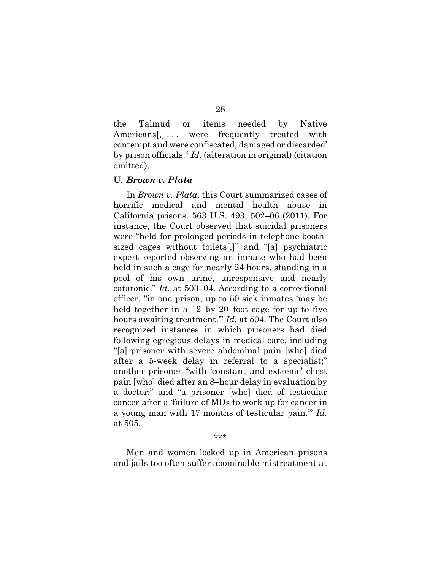the Talmud or items needed by Native Americans, 1... were frequently treated with contempt and were confiscated, damaged or discarded' by prison officials." *Id.* (alteration in original) (citation omitted).

### **U.** *Brown v. Plata*

In *Brown v. Plata*, this Court summarized cases of horrific medical and mental health abuse in California prisons. 563 U.S. 493, 502–06 (2011). For instance, the Court observed that suicidal prisoners were "held for prolonged periods in telephone-boothsized cages without toilets[,]" and "[a] psychiatric expert reported observing an inmate who had been held in such a cage for nearly 24 hours, standing in a pool of his own urine, unresponsive and nearly catatonic." *Id.* at 503–04. According to a correctional officer, "in one prison, up to 50 sick inmates 'may be held together in a 12–by 20–foot cage for up to five hours awaiting treatment.'" *Id*. at 504. The Court also recognized instances in which prisoners had died following egregious delays in medical care, including "[a] prisoner with severe abdominal pain [who] died after a 5-week delay in referral to a specialist;" another prisoner "with 'constant and extreme' chest pain [who] died after an 8–hour delay in evaluation by a doctor;" and "a prisoner [who] died of testicular cancer after a 'failure of MDs to work up for cancer in a young man with 17 months of testicular pain.'" *Id.* at 505.

\*\*\*

Men and women locked up in American prisons and jails too often suffer abominable mistreatment at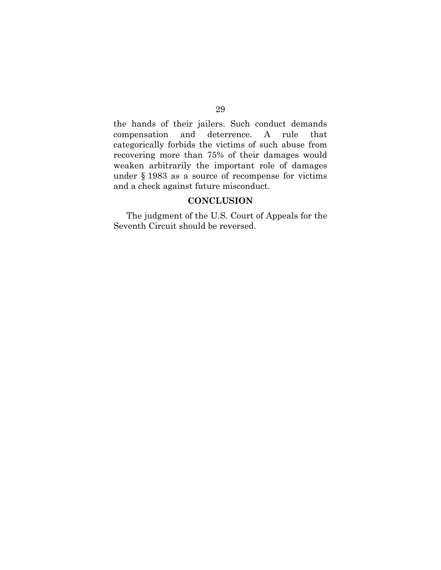the hands of their jailers. Such conduct demands compensation and deterrence. A rule that categorically forbids the victims of such abuse from recovering more than 75% of their damages would weaken arbitrarily the important role of damages under § 1983 as a source of recompense for victims and a check against future misconduct.

# **CONCLUSION**

The judgment of the U.S. Court of Appeals for the Seventh Circuit should be reversed.